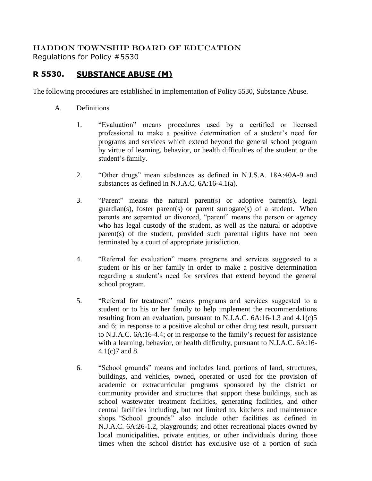## HADDON TOWNSHIP BOARD OF EDUCATION Regulations for Policy #5530

## **R 5530. SUBSTANCE ABUSE (M)**

The following procedures are established in implementation of Policy 5530, Substance Abuse.

- A. Definitions
	- 1. "Evaluation" means procedures used by a certified or licensed professional to make a positive determination of a student's need for programs and services which extend beyond the general school program by virtue of learning, behavior, or health difficulties of the student or the student's family.
	- 2. "Other drugs" mean substances as defined in N.J.S.A. 18A:40A-9 and substances as defined in N.J.A.C. 6A:16-4.1(a).
	- 3. "Parent" means the natural parent(s) or adoptive parent(s), legal guardian(s), foster parent(s) or parent surrogate(s) of a student. When parents are separated or divorced, "parent" means the person or agency who has legal custody of the student, as well as the natural or adoptive parent(s) of the student, provided such parental rights have not been terminated by a court of appropriate jurisdiction.
	- 4. "Referral for evaluation" means programs and services suggested to a student or his or her family in order to make a positive determination regarding a student's need for services that extend beyond the general school program.
	- 5. "Referral for treatment" means programs and services suggested to a student or to his or her family to help implement the recommendations resulting from an evaluation, pursuant to N.J.A.C. 6A:16-1.3 and 4.1(c)5 and 6; in response to a positive alcohol or other drug test result, pursuant to N.J.A.C. 6A:16-4.4; or in response to the family's request for assistance with a learning, behavior, or health difficulty, pursuant to N.J.A.C. 6A:16- 4.1(c)7 and 8.
	- 6. "School grounds" means and includes land, portions of land, structures, buildings, and vehicles, owned, operated or used for the provision of academic or extracurricular programs sponsored by the district or community provider and structures that support these buildings, such as school wastewater treatment facilities, generating facilities, and other central facilities including, but not limited to, kitchens and maintenance shops. "School grounds" also include other facilities as defined in N.J.A.C. 6A:26-1.2, playgrounds; and other recreational places owned by local municipalities, private entities, or other individuals during those times when the school district has exclusive use of a portion of such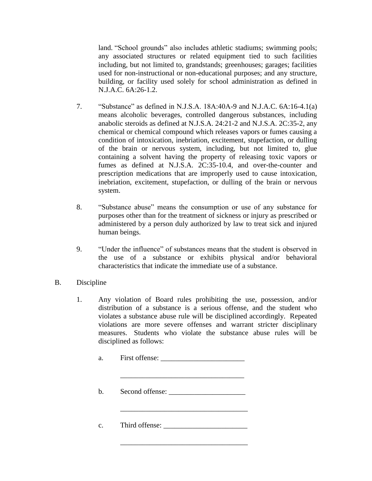land. "School grounds" also includes athletic stadiums; swimming pools; any associated structures or related equipment tied to such facilities including, but not limited to, grandstands; greenhouses; garages; facilities used for non-instructional or non-educational purposes; and any structure, building, or facility used solely for school administration as defined in N.J.A.C. 6A:26-1.2.

- 7. "Substance" as defined in N.J.S.A. 18A:40A-9 and N.J.A.C. 6A:16-4.1(a) means alcoholic beverages, controlled dangerous substances, including anabolic steroids as defined at N.J.S.A. 24:21-2 and N.J.S.A. 2C:35-2, any chemical or chemical compound which releases vapors or fumes causing a condition of intoxication, inebriation, excitement, stupefaction, or dulling of the brain or nervous system, including, but not limited to, glue containing a solvent having the property of releasing toxic vapors or fumes as defined at N.J.S.A. 2C:35-10.4, and over-the-counter and prescription medications that are improperly used to cause intoxication, inebriation, excitement, stupefaction, or dulling of the brain or nervous system.
- 8. "Substance abuse" means the consumption or use of any substance for purposes other than for the treatment of sickness or injury as prescribed or administered by a person duly authorized by law to treat sick and injured human beings.
- 9. "Under the influence" of substances means that the student is observed in the use of a substance or exhibits physical and/or behavioral characteristics that indicate the immediate use of a substance.
- B. Discipline
	- 1. Any violation of Board rules prohibiting the use, possession, and/or distribution of a substance is a serious offense, and the student who violates a substance abuse rule will be disciplined accordingly. Repeated violations are more severe offenses and warrant stricter disciplinary measures. Students who violate the substance abuse rules will be disciplined as follows:
		- a. First offense:

b. Second offense: \_\_\_\_\_\_\_\_\_\_\_\_\_\_\_\_\_\_\_\_\_

\_\_\_\_\_\_\_\_\_\_\_\_\_\_\_\_\_\_\_\_\_\_\_\_\_\_\_\_\_\_\_\_\_\_

\_\_\_\_\_\_\_\_\_\_\_\_\_\_\_\_\_\_\_\_\_\_\_\_\_\_\_\_\_\_\_\_\_\_\_

\_\_\_\_\_\_\_\_\_\_\_\_\_\_\_\_\_\_\_\_\_\_\_\_\_\_\_\_\_\_\_\_\_\_\_

c. Third offense: \_\_\_\_\_\_\_\_\_\_\_\_\_\_\_\_\_\_\_\_\_\_\_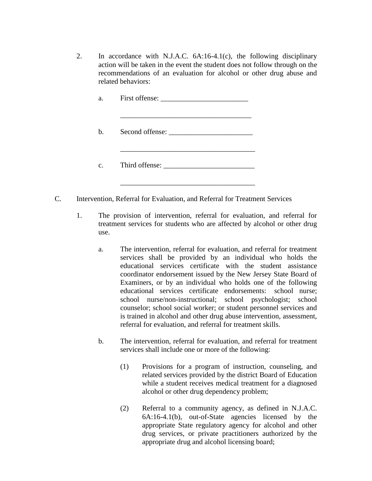2. In accordance with N.J.A.C. 6A:16-4.1(c), the following disciplinary action will be taken in the event the student does not follow through on the recommendations of an evaluation for alcohol or other drug abuse and related behaviors:

| a.          |  |
|-------------|--|
| b.          |  |
| $c_{\cdot}$ |  |

C. Intervention, Referral for Evaluation, and Referral for Treatment Services

\_\_\_\_\_\_\_\_\_\_\_\_\_\_\_\_\_\_\_\_\_\_\_\_\_\_\_\_\_\_\_\_\_\_\_\_\_

- 1. The provision of intervention, referral for evaluation, and referral for treatment services for students who are affected by alcohol or other drug use.
	- a. The intervention, referral for evaluation, and referral for treatment services shall be provided by an individual who holds the educational services certificate with the student assistance coordinator endorsement issued by the New Jersey State Board of Examiners, or by an individual who holds one of the following educational services certificate endorsements: school nurse; school nurse/non-instructional; school psychologist; school counselor; school social worker; or student personnel services and is trained in alcohol and other drug abuse intervention, assessment, referral for evaluation, and referral for treatment skills.
	- b. The intervention, referral for evaluation, and referral for treatment services shall include one or more of the following:
		- (1) Provisions for a program of instruction, counseling, and related services provided by the district Board of Education while a student receives medical treatment for a diagnosed alcohol or other drug dependency problem;
		- (2) Referral to a community agency, as defined in N.J.A.C. 6A:16-4.1(b), out-of-State agencies licensed by the appropriate State regulatory agency for alcohol and other drug services, or private practitioners authorized by the appropriate drug and alcohol licensing board;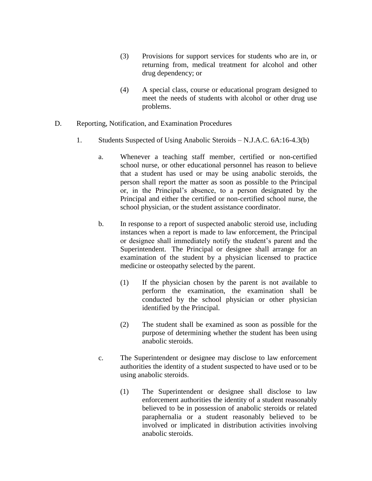- (3) Provisions for support services for students who are in, or returning from, medical treatment for alcohol and other drug dependency; or
- (4) A special class, course or educational program designed to meet the needs of students with alcohol or other drug use problems.
- D. Reporting, Notification, and Examination Procedures
	- 1. Students Suspected of Using Anabolic Steroids N.J.A.C. 6A:16-4.3(b)
		- a. Whenever a teaching staff member, certified or non-certified school nurse, or other educational personnel has reason to believe that a student has used or may be using anabolic steroids, the person shall report the matter as soon as possible to the Principal or, in the Principal's absence, to a person designated by the Principal and either the certified or non-certified school nurse, the school physician, or the student assistance coordinator.
		- b. In response to a report of suspected anabolic steroid use, including instances when a report is made to law enforcement, the Principal or designee shall immediately notify the student's parent and the Superintendent. The Principal or designee shall arrange for an examination of the student by a physician licensed to practice medicine or osteopathy selected by the parent.
			- (1) If the physician chosen by the parent is not available to perform the examination, the examination shall be conducted by the school physician or other physician identified by the Principal.
			- (2) The student shall be examined as soon as possible for the purpose of determining whether the student has been using anabolic steroids.
		- c. The Superintendent or designee may disclose to law enforcement authorities the identity of a student suspected to have used or to be using anabolic steroids.
			- (1) The Superintendent or designee shall disclose to law enforcement authorities the identity of a student reasonably believed to be in possession of anabolic steroids or related paraphernalia or a student reasonably believed to be involved or implicated in distribution activities involving anabolic steroids.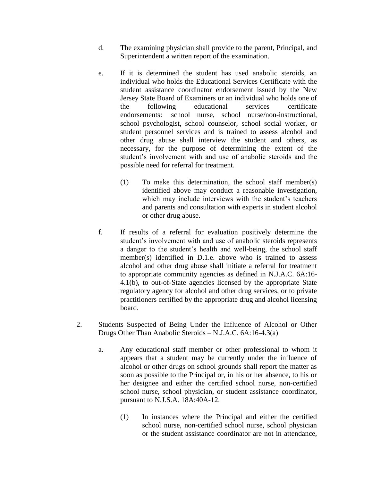- d. The examining physician shall provide to the parent, Principal, and Superintendent a written report of the examination.
- e. If it is determined the student has used anabolic steroids, an individual who holds the Educational Services Certificate with the student assistance coordinator endorsement issued by the New Jersey State Board of Examiners or an individual who holds one of the following educational services certificate endorsements: school nurse, school nurse/non-instructional, school psychologist, school counselor, school social worker, or student personnel services and is trained to assess alcohol and other drug abuse shall interview the student and others, as necessary, for the purpose of determining the extent of the student's involvement with and use of anabolic steroids and the possible need for referral for treatment.
	- (1) To make this determination, the school staff member(s) identified above may conduct a reasonable investigation, which may include interviews with the student's teachers and parents and consultation with experts in student alcohol or other drug abuse.
- f. If results of a referral for evaluation positively determine the student's involvement with and use of anabolic steroids represents a danger to the student's health and well-being, the school staff member(s) identified in D.1.e. above who is trained to assess alcohol and other drug abuse shall initiate a referral for treatment to appropriate community agencies as defined in N.J.A.C. 6A:16- 4.1(b), to out-of-State agencies licensed by the appropriate State regulatory agency for alcohol and other drug services, or to private practitioners certified by the appropriate drug and alcohol licensing board.
- 2. Students Suspected of Being Under the Influence of Alcohol or Other Drugs Other Than Anabolic Steroids – N.J.A.C. 6A:16-4.3(a)
	- a. Any educational staff member or other professional to whom it appears that a student may be currently under the influence of alcohol or other drugs on school grounds shall report the matter as soon as possible to the Principal or, in his or her absence, to his or her designee and either the certified school nurse, non-certified school nurse, school physician, or student assistance coordinator, pursuant to N.J.S.A. 18A:40A-12.
		- (1) In instances where the Principal and either the certified school nurse, non-certified school nurse, school physician or the student assistance coordinator are not in attendance,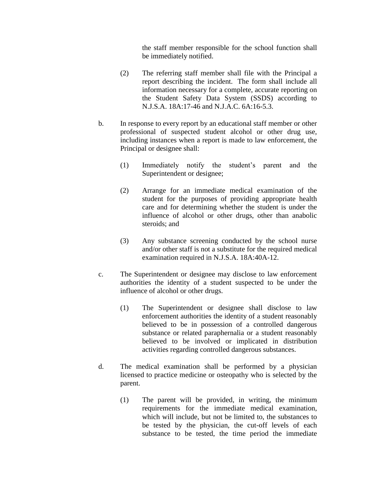the staff member responsible for the school function shall be immediately notified.

- (2) The referring staff member shall file with the Principal a report describing the incident. The form shall include all information necessary for a complete, accurate reporting on the Student Safety Data System (SSDS) according to N.J.S.A. 18A:17-46 and N.J.A.C. 6A:16-5.3.
- b. In response to every report by an educational staff member or other professional of suspected student alcohol or other drug use, including instances when a report is made to law enforcement, the Principal or designee shall:
	- (1) Immediately notify the student's parent and the Superintendent or designee;
	- (2) Arrange for an immediate medical examination of the student for the purposes of providing appropriate health care and for determining whether the student is under the influence of alcohol or other drugs, other than anabolic steroids; and
	- (3) Any substance screening conducted by the school nurse and/or other staff is not a substitute for the required medical examination required in N.J.S.A. 18A:40A-12.
- c. The Superintendent or designee may disclose to law enforcement authorities the identity of a student suspected to be under the influence of alcohol or other drugs.
	- (1) The Superintendent or designee shall disclose to law enforcement authorities the identity of a student reasonably believed to be in possession of a controlled dangerous substance or related paraphernalia or a student reasonably believed to be involved or implicated in distribution activities regarding controlled dangerous substances.
- d. The medical examination shall be performed by a physician licensed to practice medicine or osteopathy who is selected by the parent.
	- (1) The parent will be provided, in writing, the minimum requirements for the immediate medical examination, which will include, but not be limited to, the substances to be tested by the physician, the cut-off levels of each substance to be tested, the time period the immediate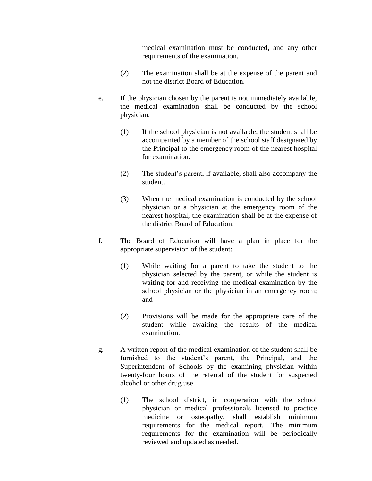medical examination must be conducted, and any other requirements of the examination.

- (2) The examination shall be at the expense of the parent and not the district Board of Education.
- e. If the physician chosen by the parent is not immediately available, the medical examination shall be conducted by the school physician.
	- (1) If the school physician is not available, the student shall be accompanied by a member of the school staff designated by the Principal to the emergency room of the nearest hospital for examination.
	- (2) The student's parent, if available, shall also accompany the student.
	- (3) When the medical examination is conducted by the school physician or a physician at the emergency room of the nearest hospital, the examination shall be at the expense of the district Board of Education.
- f. The Board of Education will have a plan in place for the appropriate supervision of the student:
	- (1) While waiting for a parent to take the student to the physician selected by the parent, or while the student is waiting for and receiving the medical examination by the school physician or the physician in an emergency room; and
	- (2) Provisions will be made for the appropriate care of the student while awaiting the results of the medical examination.
- g. A written report of the medical examination of the student shall be furnished to the student's parent, the Principal, and the Superintendent of Schools by the examining physician within twenty-four hours of the referral of the student for suspected alcohol or other drug use.
	- (1) The school district, in cooperation with the school physician or medical professionals licensed to practice medicine or osteopathy, shall establish minimum requirements for the medical report. The minimum requirements for the examination will be periodically reviewed and updated as needed.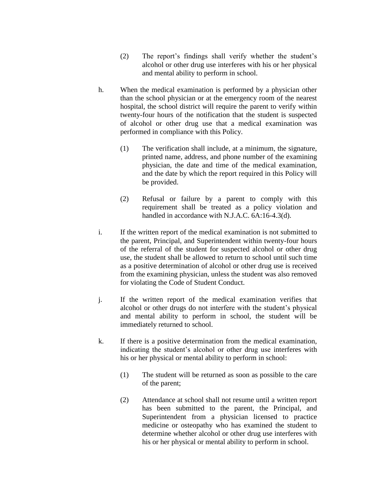- (2) The report's findings shall verify whether the student's alcohol or other drug use interferes with his or her physical and mental ability to perform in school.
- h. When the medical examination is performed by a physician other than the school physician or at the emergency room of the nearest hospital, the school district will require the parent to verify within twenty-four hours of the notification that the student is suspected of alcohol or other drug use that a medical examination was performed in compliance with this Policy.
	- (1) The verification shall include, at a minimum, the signature, printed name, address, and phone number of the examining physician, the date and time of the medical examination, and the date by which the report required in this Policy will be provided.
	- (2) Refusal or failure by a parent to comply with this requirement shall be treated as a policy violation and handled in accordance with N.J.A.C. 6A:16-4.3(d).
- i. If the written report of the medical examination is not submitted to the parent, Principal, and Superintendent within twenty-four hours of the referral of the student for suspected alcohol or other drug use, the student shall be allowed to return to school until such time as a positive determination of alcohol or other drug use is received from the examining physician, unless the student was also removed for violating the Code of Student Conduct.
- j. If the written report of the medical examination verifies that alcohol or other drugs do not interfere with the student's physical and mental ability to perform in school, the student will be immediately returned to school.
- k. If there is a positive determination from the medical examination, indicating the student's alcohol or other drug use interferes with his or her physical or mental ability to perform in school:
	- (1) The student will be returned as soon as possible to the care of the parent;
	- (2) Attendance at school shall not resume until a written report has been submitted to the parent, the Principal, and Superintendent from a physician licensed to practice medicine or osteopathy who has examined the student to determine whether alcohol or other drug use interferes with his or her physical or mental ability to perform in school.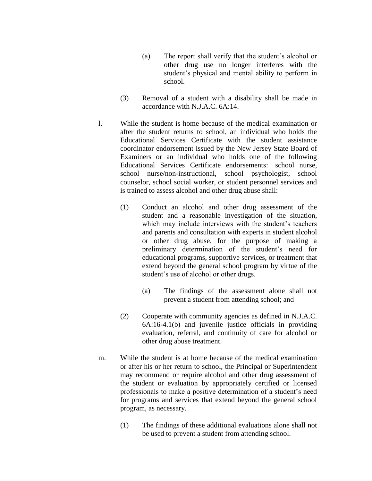- (a) The report shall verify that the student's alcohol or other drug use no longer interferes with the student's physical and mental ability to perform in school.
- (3) Removal of a student with a disability shall be made in accordance with N.J.A.C. 6A:14.
- l. While the student is home because of the medical examination or after the student returns to school, an individual who holds the Educational Services Certificate with the student assistance coordinator endorsement issued by the New Jersey State Board of Examiners or an individual who holds one of the following Educational Services Certificate endorsements: school nurse, school nurse/non-instructional, school psychologist, school counselor, school social worker, or student personnel services and is trained to assess alcohol and other drug abuse shall:
	- (1) Conduct an alcohol and other drug assessment of the student and a reasonable investigation of the situation, which may include interviews with the student's teachers and parents and consultation with experts in student alcohol or other drug abuse, for the purpose of making a preliminary determination of the student's need for educational programs, supportive services, or treatment that extend beyond the general school program by virtue of the student's use of alcohol or other drugs.
		- (a) The findings of the assessment alone shall not prevent a student from attending school; and
	- (2) Cooperate with community agencies as defined in N.J.A.C. 6A:16-4.1(b) and juvenile justice officials in providing evaluation, referral, and continuity of care for alcohol or other drug abuse treatment.
- m. While the student is at home because of the medical examination or after his or her return to school, the Principal or Superintendent may recommend or require alcohol and other drug assessment of the student or evaluation by appropriately certified or licensed professionals to make a positive determination of a student's need for programs and services that extend beyond the general school program, as necessary.
	- (1) The findings of these additional evaluations alone shall not be used to prevent a student from attending school.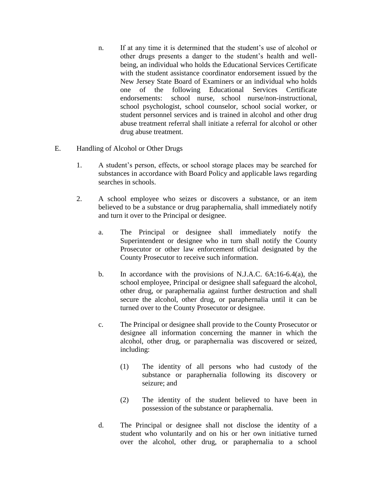- n. If at any time it is determined that the student's use of alcohol or other drugs presents a danger to the student's health and wellbeing, an individual who holds the Educational Services Certificate with the student assistance coordinator endorsement issued by the New Jersey State Board of Examiners or an individual who holds one of the following Educational Services Certificate endorsements: school nurse, school nurse/non-instructional, school psychologist, school counselor, school social worker, or student personnel services and is trained in alcohol and other drug abuse treatment referral shall initiate a referral for alcohol or other drug abuse treatment.
- E. Handling of Alcohol or Other Drugs
	- 1. A student's person, effects, or school storage places may be searched for substances in accordance with Board Policy and applicable laws regarding searches in schools.
	- 2. A school employee who seizes or discovers a substance, or an item believed to be a substance or drug paraphernalia, shall immediately notify and turn it over to the Principal or designee.
		- a. The Principal or designee shall immediately notify the Superintendent or designee who in turn shall notify the County Prosecutor or other law enforcement official designated by the County Prosecutor to receive such information.
		- b. In accordance with the provisions of N.J.A.C. 6A:16-6.4(a), the school employee, Principal or designee shall safeguard the alcohol, other drug, or paraphernalia against further destruction and shall secure the alcohol, other drug, or paraphernalia until it can be turned over to the County Prosecutor or designee.
		- c. The Principal or designee shall provide to the County Prosecutor or designee all information concerning the manner in which the alcohol, other drug, or paraphernalia was discovered or seized, including:
			- (1) The identity of all persons who had custody of the substance or paraphernalia following its discovery or seizure; and
			- (2) The identity of the student believed to have been in possession of the substance or paraphernalia.
		- d. The Principal or designee shall not disclose the identity of a student who voluntarily and on his or her own initiative turned over the alcohol, other drug, or paraphernalia to a school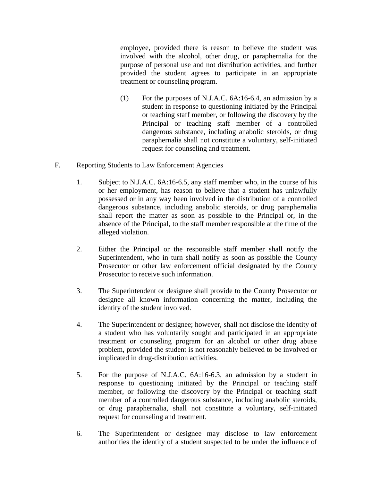employee, provided there is reason to believe the student was involved with the alcohol, other drug, or paraphernalia for the purpose of personal use and not distribution activities, and further provided the student agrees to participate in an appropriate treatment or counseling program.

- (1) For the purposes of N.J.A.C. 6A:16-6.4, an admission by a student in response to questioning initiated by the Principal or teaching staff member, or following the discovery by the Principal or teaching staff member of a controlled dangerous substance, including anabolic steroids, or drug paraphernalia shall not constitute a voluntary, self-initiated request for counseling and treatment.
- F. Reporting Students to Law Enforcement Agencies
	- 1. Subject to N.J.A.C. 6A:16-6.5, any staff member who, in the course of his or her employment, has reason to believe that a student has unlawfully possessed or in any way been involved in the distribution of a controlled dangerous substance, including anabolic steroids, or drug paraphernalia shall report the matter as soon as possible to the Principal or, in the absence of the Principal, to the staff member responsible at the time of the alleged violation.
	- 2. Either the Principal or the responsible staff member shall notify the Superintendent, who in turn shall notify as soon as possible the County Prosecutor or other law enforcement official designated by the County Prosecutor to receive such information.
	- 3. The Superintendent or designee shall provide to the County Prosecutor or designee all known information concerning the matter, including the identity of the student involved.
	- 4. The Superintendent or designee; however, shall not disclose the identity of a student who has voluntarily sought and participated in an appropriate treatment or counseling program for an alcohol or other drug abuse problem, provided the student is not reasonably believed to be involved or implicated in drug-distribution activities.
	- 5. For the purpose of N.J.A.C. 6A:16-6.3, an admission by a student in response to questioning initiated by the Principal or teaching staff member, or following the discovery by the Principal or teaching staff member of a controlled dangerous substance, including anabolic steroids, or drug paraphernalia, shall not constitute a voluntary, self-initiated request for counseling and treatment.
	- 6. The Superintendent or designee may disclose to law enforcement authorities the identity of a student suspected to be under the influence of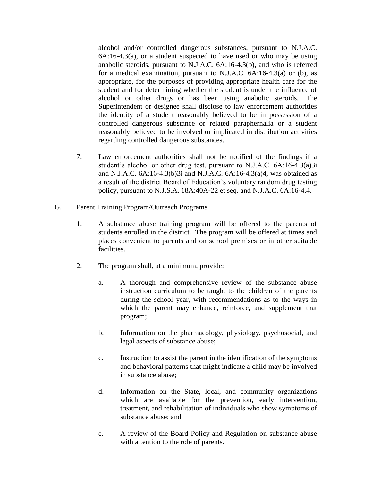alcohol and/or controlled dangerous substances, pursuant to N.J.A.C.  $6A:16-4.3(a)$ , or a student suspected to have used or who may be using anabolic steroids, pursuant to N.J.A.C. 6A:16-4.3(b), and who is referred for a medical examination, pursuant to N.J.A.C. 6A:16-4.3(a) or (b), as appropriate, for the purposes of providing appropriate health care for the student and for determining whether the student is under the influence of alcohol or other drugs or has been using anabolic steroids. The Superintendent or designee shall disclose to law enforcement authorities the identity of a student reasonably believed to be in possession of a controlled dangerous substance or related paraphernalia or a student reasonably believed to be involved or implicated in distribution activities regarding controlled dangerous substances.

- 7. Law enforcement authorities shall not be notified of the findings if a student's alcohol or other drug test, pursuant to N.J.A.C. 6A:16-4.3(a)3i and N.J.A.C. 6A:16-4.3(b)3i and N.J.A.C. 6A:16-4.3(a)4, was obtained as a result of the district Board of Education's voluntary random drug testing policy, pursuant to N.J.S.A. 18A:40A-22 et seq. and N.J.A.C. 6A:16-4.4.
- G. Parent Training Program/Outreach Programs
	- 1. A substance abuse training program will be offered to the parents of students enrolled in the district. The program will be offered at times and places convenient to parents and on school premises or in other suitable facilities.
	- 2. The program shall, at a minimum, provide:
		- a. A thorough and comprehensive review of the substance abuse instruction curriculum to be taught to the children of the parents during the school year, with recommendations as to the ways in which the parent may enhance, reinforce, and supplement that program;
		- b. Information on the pharmacology, physiology, psychosocial, and legal aspects of substance abuse;
		- c. Instruction to assist the parent in the identification of the symptoms and behavioral patterns that might indicate a child may be involved in substance abuse;
		- d. Information on the State, local, and community organizations which are available for the prevention, early intervention, treatment, and rehabilitation of individuals who show symptoms of substance abuse; and
		- e. A review of the Board Policy and Regulation on substance abuse with attention to the role of parents.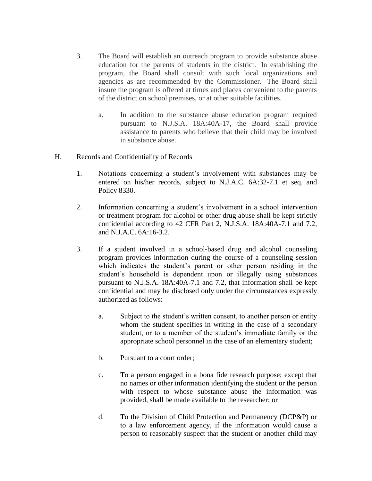- 3. The Board will establish an outreach program to provide substance abuse education for the parents of students in the district. In establishing the program, the Board shall consult with such local organizations and agencies as are recommended by the Commissioner. The Board shall insure the program is offered at times and places convenient to the parents of the district on school premises, or at other suitable facilities.
	- a. In addition to the substance abuse education program required pursuant to N.J.S.A. 18A:40A-17, the Board shall provide assistance to parents who believe that their child may be involved in substance abuse.
- H. Records and Confidentiality of Records
	- 1. Notations concerning a student's involvement with substances may be entered on his/her records, subject to N.J.A.C. 6A:32-7.1 et seq. and Policy 8330.
	- 2. Information concerning a student's involvement in a school intervention or treatment program for alcohol or other drug abuse shall be kept strictly confidential according to 42 CFR Part 2, N.J.S.A. 18A:40A-7.1 and 7.2, and N.J.A.C. 6A:16-3.2.
	- 3. If a student involved in a school-based drug and alcohol counseling program provides information during the course of a counseling session which indicates the student's parent or other person residing in the student's household is dependent upon or illegally using substances pursuant to N.J.S.A. 18A:40A-7.1 and 7.2, that information shall be kept confidential and may be disclosed only under the circumstances expressly authorized as follows:
		- a. Subject to the student's written consent, to another person or entity whom the student specifies in writing in the case of a secondary student, or to a member of the student's immediate family or the appropriate school personnel in the case of an elementary student;
		- b. Pursuant to a court order;
		- c. To a person engaged in a bona fide research purpose; except that no names or other information identifying the student or the person with respect to whose substance abuse the information was provided, shall be made available to the researcher; or
		- d. To the Division of Child Protection and Permanency (DCP&P) or to a law enforcement agency, if the information would cause a person to reasonably suspect that the student or another child may